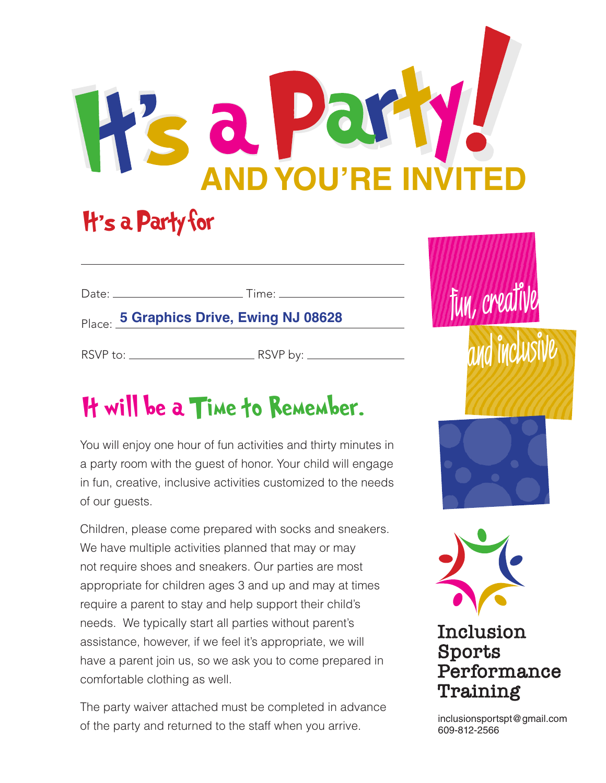# d **AND YOU'RE INVITED**

## H's a Party for

|                               | Place: 5 Graphics Drive, Ewing NJ 08628 |  |
|-------------------------------|-----------------------------------------|--|
| RSVP to: ____________________ | . RSVP by: __________                   |  |

## It will be a Time to Remember.

You will enjoy one hour of fun activities and thirty minutes in a party room with the guest of honor. Your child will engage in fun, creative, inclusive activities customized to the needs of our guests.

Children, please come prepared with socks and sneakers. We have multiple activities planned that may or may not require shoes and sneakers. Our parties are most appropriate for children ages 3 and up and may at times require a parent to stay and help support their child's needs. We typically start all parties without parent's assistance, however, if we feel it's appropriate, we will have a parent join us, so we ask you to come prepared in comfortable clothing as well.

The party waiver attached must be completed in advance of the party and returned to the staff when you arrive.



and inclusive

fun, creat

### Inclusion Sports Performance Training

inclusionsportspt@gmail.com 609-812-2566